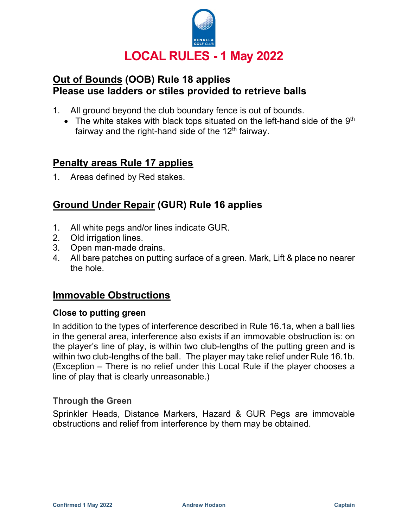

# Out of Bounds (OOB) Rule 18 applies Please use ladders or stiles provided to retrieve balls

- 1. All ground beyond the club boundary fence is out of bounds.
	- The white stakes with black tops situated on the left-hand side of the  $9<sup>th</sup>$ fairway and the right-hand side of the  $12<sup>th</sup>$  fairway.

# Penalty areas Rule 17 applies

1. Areas defined by Red stakes.

# Ground Under Repair (GUR) Rule 16 applies

- 1. All white pegs and/or lines indicate GUR.
- 2. Old irrigation lines.
- 3. Open man-made drains.
- 4. All bare patches on putting surface of a green. Mark, Lift & place no nearer the hole.

### Immovable Obstructions

#### Close to putting green

In addition to the types of interference described in Rule 16.1a, when a ball lies in the general area, interference also exists if an immovable obstruction is: on the player's line of play, is within two club-lengths of the putting green and is within two club-lengths of the ball. The player may take relief under Rule 16.1b. (Exception – There is no relief under this Local Rule if the player chooses a line of play that is clearly unreasonable.)

#### Through the Green

Sprinkler Heads, Distance Markers, Hazard & GUR Pegs are immovable obstructions and relief from interference by them may be obtained.